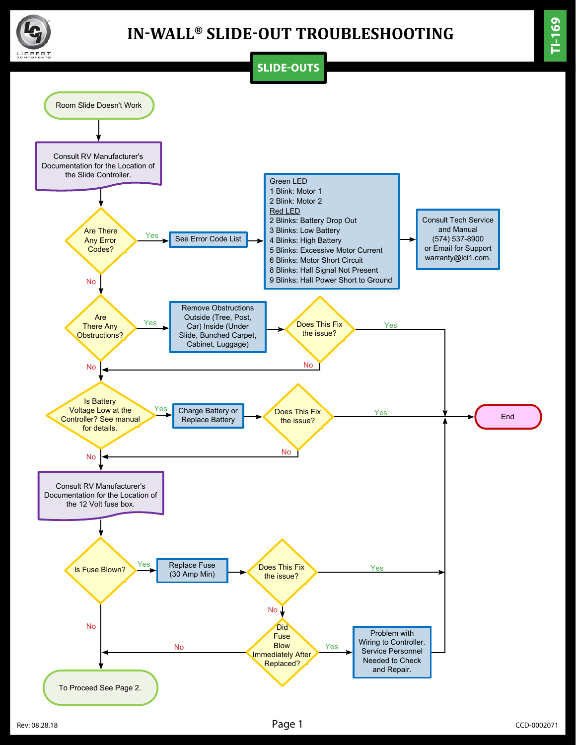

# **IN-WALL® SLIDE-OUT TROUBLESHOOTING**

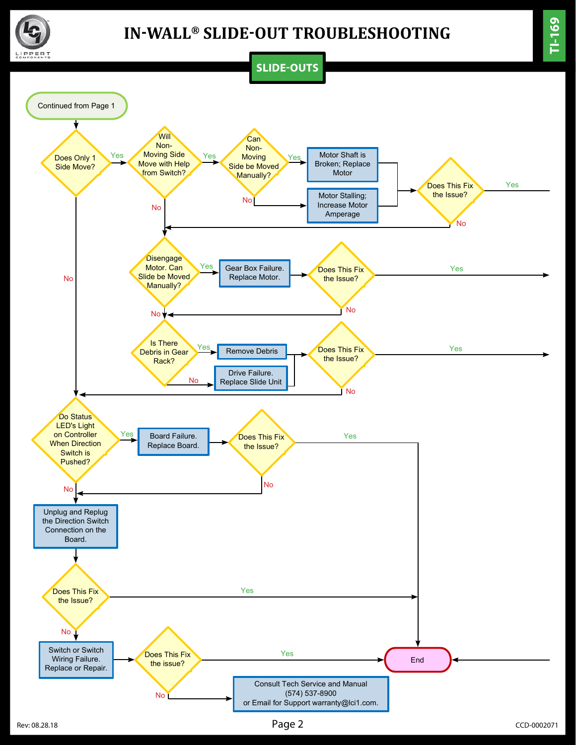

# **IN-WALL® SLIDE-OUT TROUBLESHOOTING**

**SLIDE-OUTS**

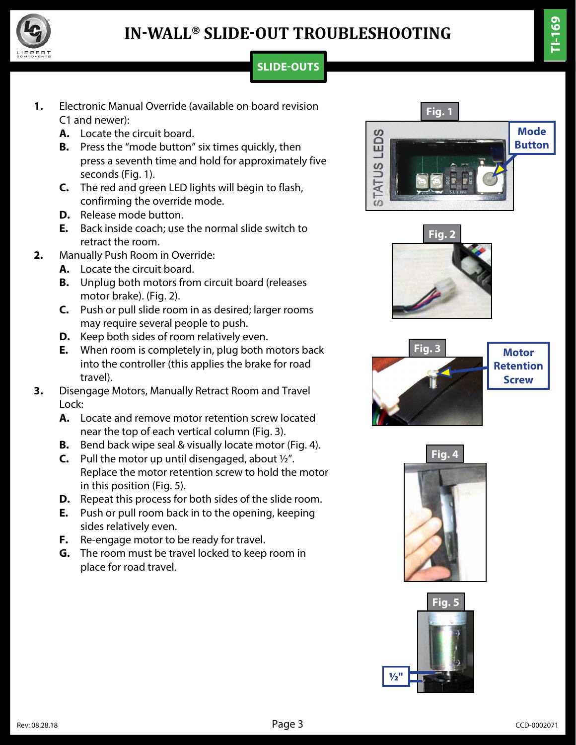

# **IN-WALL® SLIDE-OUT TROUBLESHOOTING**

## **SLIDE-OUTS**

- **1.** Electronic Manual Override (available on board revision C1 and newer):
	- **A.** Locate the circuit board.
	- **B.** Press the "mode button" six times quickly, then press a seventh time and hold for approximately five seconds (Fig. 1).
	- **C.** The red and green LED lights will begin to flash, confirming the override mode.
	- **D.** Release mode button.
	- **E.** Back inside coach; use the normal slide switch to retract the room.
- **2.** Manually Push Room in Override:
	- **A.** Locate the circuit board.
	- **B.** Unplug both motors from circuit board (releases motor brake). (Fig. 2).
	- **C.** Push or pull slide room in as desired; larger rooms may require several people to push.
	- **D.** Keep both sides of room relatively even.
	- **E.** When room is completely in, plug both motors back into the controller (this applies the brake for road travel).
- **3.** Disengage Motors, Manually Retract Room and Travel Lock:
	- **A.** Locate and remove motor retention screw located near the top of each vertical column (Fig. 3).
	- **B.** Bend back wipe seal & visually locate motor (Fig. 4).
	- **C.** Pull the motor up until disengaged, about  $\frac{1}{2}$ ". Replace the motor retention screw to hold the motor in this position (Fig. 5).
	- **D.** Repeat this process for both sides of the slide room.
	- **E.** Push or pull room back in to the opening, keeping sides relatively even.
	- **F.** Re-engage motor to be ready for travel.
	- **G.** The room must be travel locked to keep room in place for road travel.









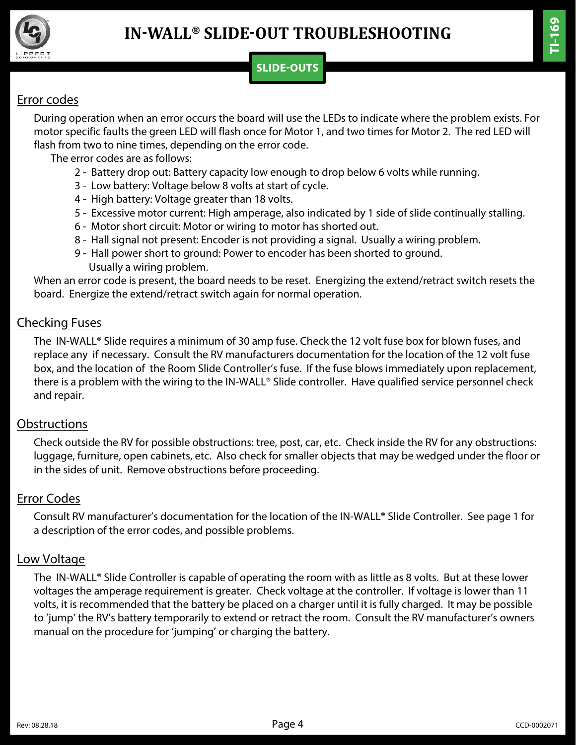

## **SLIDE-OUTS**

## Error codes

During operation when an error occurs the board will use the LEDs to indicate where the problem exists. For motor specific faults the green LED will flash once for Motor 1, and two times for Motor 2. The red LED will flash from two to nine times, depending on the error code.

The error codes are as follows:

- 2 Battery drop out: Battery capacity low enough to drop below 6 volts while running.
- 3 Low battery: Voltage below 8 volts at start of cycle.
- 4 High battery: Voltage greater than 18 volts.
- 5 Excessive motor current: High amperage, also indicated by 1 side of slide continually stalling.
- 6 Motor short circuit: Motor or wiring to motor has shorted out.
- 8 Hall signal not present: Encoder is not providing a signal. Usually a wiring problem.
- 9 Hall power short to ground: Power to encoder has been shorted to ground. Usually a wiring problem.

When an error code is present, the board needs to be reset. Energizing the extend/retract switch resets the board. Energize the extend/retract switch again for normal operation.

#### Checking Fuses

The IN-WALL® Slide requires a minimum of 30 amp fuse. Check the 12 volt fuse box for blown fuses, and replace any if necessary. Consult the RV manufacturers documentation for the location of the 12 volt fuse box, and the location of the Room Slide Controller's fuse. If the fuse blows immediately upon replacement, there is a problem with the wiring to the IN-WALL® Slide controller. Have qualified service personnel check and repair.

#### **Obstructions**

Check outside the RV for possible obstructions: tree, post, car, etc. Check inside the RV for any obstructions: luggage, furniture, open cabinets, etc. Also check for smaller objects that may be wedged under the floor or in the sides of unit. Remove obstructions before proceeding.

#### Error Codes

Consult RV manufacturer's documentation for the location of the IN-WALL® Slide Controller. See page 1 for a description of the error codes, and possible problems.

#### Low Voltage

The IN-WALL® Slide Controller is capable of operating the room with as little as 8 volts. But at these lower voltages the amperage requirement is greater. Check voltage at the controller. If voltage is lower than 11 volts, it is recommended that the battery be placed on a charger until it is fully charged. It may be possible to 'jump' the RV's battery temporarily to extend or retract the room. Consult the RV manufacturer's owners manual on the procedure for 'jumping' or charging the battery.